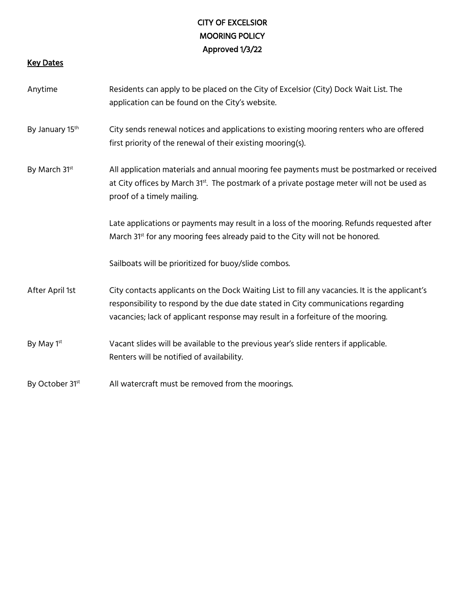# CITY OF EXCELSIOR MOORING POLICY Approved 1/3/22

#### Key Dates

Anytime Residents can apply to be placed on the City of Excelsior (City) Dock Wait List. The application can be found on the City's website. By January 15<sup>th</sup> City sends renewal notices and applications to existing mooring renters who are offered first priority of the renewal of their existing mooring(s). By March 31<sup>st</sup> All application materials and annual mooring fee payments must be postmarked or received at City offices by March 31<sup>st</sup>. The postmark of a private postage meter will not be used as proof of a timely mailing. Late applications or payments may result in a loss of the mooring. Refunds requested after March  $31<sup>st</sup>$  for any mooring fees already paid to the City will not be honored. Sailboats will be prioritized for buoy/slide combos. After April 1st City contacts applicants on the Dock Waiting List to fill any vacancies. It is the applicant's responsibility to respond by the due date stated in City communications regarding vacancies; lack of applicant response may result in a forfeiture of the mooring. By May 1<sup>st</sup> Vacant slides will be available to the previous year's slide renters if applicable. Renters will be notified of availability. By October 31<sup>st</sup> All watercraft must be removed from the moorings.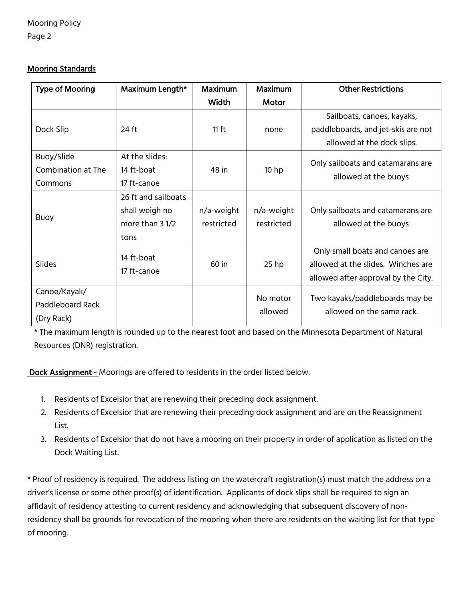Mooring Policy

Page 2

## Mooring Standards

| <b>Type of Mooring</b> | Maximum Length*     | <b>Maximum</b> | <b>Maximum</b>   | <b>Other Restrictions</b>                                   |
|------------------------|---------------------|----------------|------------------|-------------------------------------------------------------|
|                        |                     | <b>Width</b>   | Motor            |                                                             |
| Dock Slip              |                     |                |                  | Sailboats, canoes, kayaks,                                  |
|                        | 24 ft               | $11$ ft        | none             | paddleboards, and jet-skis are not                          |
|                        |                     |                |                  | allowed at the dock slips.                                  |
| Buoy/Slide             | At the slides:      |                |                  |                                                             |
| Combination at The     | 14 ft-boat          | 48 in          | 10 <sub>hp</sub> | Only sailboats and catamarans are<br>allowed at the buoys   |
| Commons                | 17 ft-canoe         |                |                  |                                                             |
|                        | 26 ft and sailboats |                |                  |                                                             |
| <b>Buoy</b>            | shall weigh no      | n/a-weight     | n/a-weight       | Only sailboats and catamarans are                           |
|                        | more than 3 1/2     | restricted     | restricted       | allowed at the buoys                                        |
|                        | tons                |                |                  |                                                             |
| Slides                 | 14 ft-boat          |                |                  | Only small boats and canoes are                             |
|                        |                     | 60 in          | $25$ hp          | allowed at the slides. Winches are                          |
|                        | 17 ft-canoe         |                |                  | allowed after approval by the City.                         |
| Canoe/Kayak/           |                     |                | No motor         |                                                             |
| Paddleboard Rack       |                     |                | allowed          | Two kayaks/paddleboards may be<br>allowed on the same rack. |
| (Dry Rack)             |                     |                |                  |                                                             |

\* The maximum length is rounded up to the nearest foot and based on the Minnesota Department of Natural Resources (DNR) registration.

Dock Assignment - Moorings are offered to residents in the order listed below.

- 1. Residents of Excelsior that are renewing their preceding dock assignment.
- 2. Residents of Excelsior that are renewing their preceding dock assignment and are on the Reassignment List.
- 3. Residents of Excelsior that do not have a mooring on their property in order of application as listed on the Dock Waiting List.

\* Proof of residency is required. The address listing on the watercraft registration(s) must match the address on a driver's license or some other proof(s) of identification. Applicants of dock slips shall be required to sign an affidavit of residency attesting to current residency and acknowledging that subsequent discovery of nonresidency shall be grounds for revocation of the mooring when there are residents on the waiting list for that type of mooring.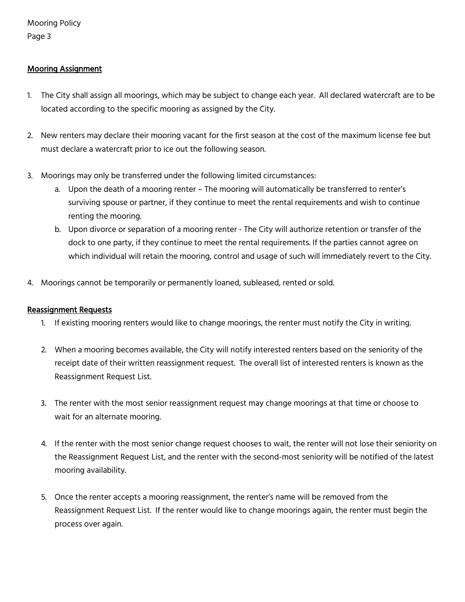## Mooring Assignment

- 1. The City shall assign all moorings, which may be subject to change each year. All declared watercraft are to be located according to the specific mooring as assigned by the City.
- 2. New renters may declare their mooring vacant for the first season at the cost of the maximum license fee but must declare a watercraft prior to ice out the following season.
- 3. Moorings may only be transferred under the following limited circumstances:
	- a. Upon the death of a mooring renter The mooring will automatically be transferred to renter's surviving spouse or partner, if they continue to meet the rental requirements and wish to continue renting the mooring.
	- b. Upon divorce or separation of a mooring renter The City will authorize retention or transfer of the dock to one party, if they continue to meet the rental requirements. If the parties cannot agree on which individual will retain the mooring, control and usage of such will immediately revert to the City.
- 4. Moorings cannot be temporarily or permanently loaned, subleased, rented or sold.

#### Reassignment Requests

- 1. If existing mooring renters would like to change moorings, the renter must notify the City in writing.
- 2. When a mooring becomes available, the City will notify interested renters based on the seniority of the receipt date of their written reassignment request. The overall list of interested renters is known as the Reassignment Request List.
- 3. The renter with the most senior reassignment request may change moorings at that time or choose to wait for an alternate mooring.
- 4. If the renter with the most senior change request chooses to wait, the renter will not lose their seniority on the Reassignment Request List, and the renter with the second-most seniority will be notified of the latest mooring availability.
- 5. Once the renter accepts a mooring reassignment, the renter's name will be removed from the Reassignment Request List. If the renter would like to change moorings again, the renter must begin the process over again.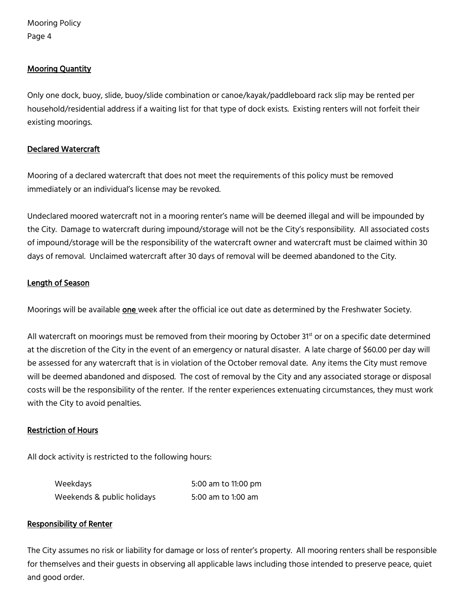#### Mooring Quantity

Only one dock, buoy, slide, buoy/slide combination or canoe/kayak/paddleboard rack slip may be rented per household/residential address if a waiting list for that type of dock exists. Existing renters will not forfeit their existing moorings.

#### Declared Watercraft

Mooring of a declared watercraft that does not meet the requirements of this policy must be removed immediately or an individual's license may be revoked.

Undeclared moored watercraft not in a mooring renter's name will be deemed illegal and will be impounded by the City. Damage to watercraft during impound/storage will not be the City's responsibility. All associated costs of impound/storage will be the responsibility of the watercraft owner and watercraft must be claimed within 30 days of removal. Unclaimed watercraft after 30 days of removal will be deemed abandoned to the City.

#### Length of Season

Moorings will be available **one** week after the official ice out date as determined by the Freshwater Society.

All watercraft on moorings must be removed from their mooring by October 31st or on a specific date determined at the discretion of the City in the event of an emergency or natural disaster. A late charge of \$60.00 per day will be assessed for any watercraft that is in violation of the October removal date. Any items the City must remove will be deemed abandoned and disposed. The cost of removal by the City and any associated storage or disposal costs will be the responsibility of the renter. If the renter experiences extenuating circumstances, they must work with the City to avoid penalties.

#### Restriction of Hours

All dock activity is restricted to the following hours:

| Weekdays                   | 5:00 am to 11:00 pm |
|----------------------------|---------------------|
| Weekends & public holidays | 5:00 am to 1:00 am  |

#### Responsibility of Renter

The City assumes no risk or liability for damage or loss of renter's property. All mooring renters shall be responsible for themselves and their guests in observing all applicable laws including those intended to preserve peace, quiet and good order.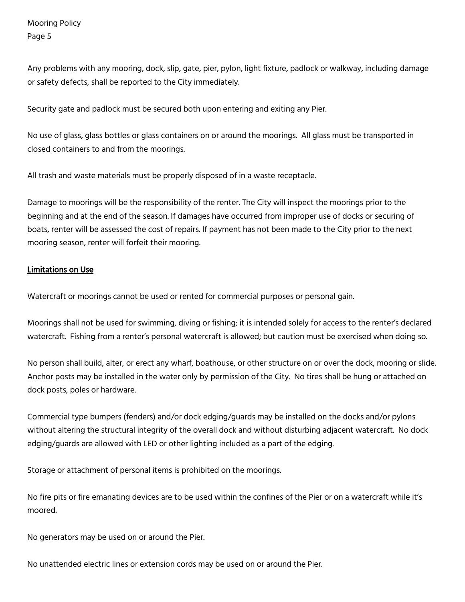Any problems with any mooring, dock, slip, gate, pier, pylon, light fixture, padlock or walkway, including damage or safety defects, shall be reported to the City immediately.

Security gate and padlock must be secured both upon entering and exiting any Pier.

No use of glass, glass bottles or glass containers on or around the moorings. All glass must be transported in closed containers to and from the moorings.

All trash and waste materials must be properly disposed of in a waste receptacle.

Damage to moorings will be the responsibility of the renter. The City will inspect the moorings prior to the beginning and at the end of the season. If damages have occurred from improper use of docks or securing of boats, renter will be assessed the cost of repairs. If payment has not been made to the City prior to the next mooring season, renter will forfeit their mooring.

#### Limitations on Use

Watercraft or moorings cannot be used or rented for commercial purposes or personal gain.

Moorings shall not be used for swimming, diving or fishing; it is intended solely for access to the renter's declared watercraft. Fishing from a renter's personal watercraft is allowed; but caution must be exercised when doing so.

No person shall build, alter, or erect any wharf, boathouse, or other structure on or over the dock, mooring or slide. Anchor posts may be installed in the water only by permission of the City. No tires shall be hung or attached on dock posts, poles or hardware.

Commercial type bumpers (fenders) and/or dock edging/guards may be installed on the docks and/or pylons without altering the structural integrity of the overall dock and without disturbing adjacent watercraft. No dock edging/guards are allowed with LED or other lighting included as a part of the edging.

Storage or attachment of personal items is prohibited on the moorings.

No fire pits or fire emanating devices are to be used within the confines of the Pier or on a watercraft while it's moored.

No generators may be used on or around the Pier.

No unattended electric lines or extension cords may be used on or around the Pier.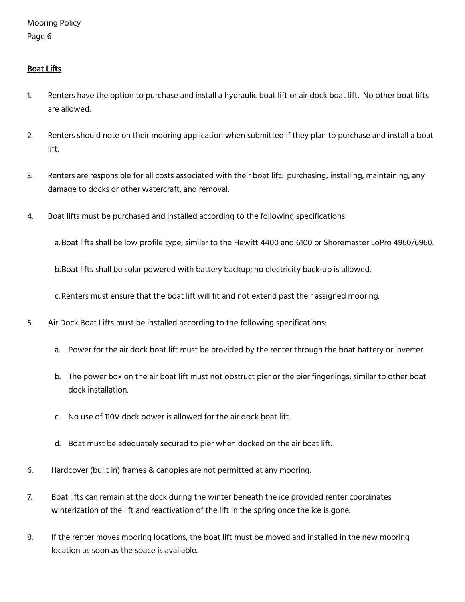## Boat Lifts

- 1. Renters have the option to purchase and install a hydraulic boat lift or air dock boat lift. No other boat lifts are allowed.
- 2. Renters should note on their mooring application when submitted if they plan to purchase and install a boat lift.
- 3. Renters are responsible for all costs associated with their boat lift: purchasing, installing, maintaining, any damage to docks or other watercraft, and removal.
- 4. Boat lifts must be purchased and installed according to the following specifications:

a. Boat lifts shall be low profile type, similar to the Hewitt 4400 and 6100 or Shoremaster LoPro 4960/6960.

b.Boat lifts shall be solar powered with battery backup; no electricity back-up is allowed.

c. Renters must ensure that the boat lift will fit and not extend past their assigned mooring.

- 5. Air Dock Boat Lifts must be installed according to the following specifications:
	- a. Power for the air dock boat lift must be provided by the renter through the boat battery or inverter.
	- b. The power box on the air boat lift must not obstruct pier or the pier fingerlings; similar to other boat dock installation.
	- c. No use of 110V dock power is allowed for the air dock boat lift.
	- d. Boat must be adequately secured to pier when docked on the air boat lift.
- 6. Hardcover (built in) frames & canopies are not permitted at any mooring.
- 7. Boat lifts can remain at the dock during the winter beneath the ice provided renter coordinates winterization of the lift and reactivation of the lift in the spring once the ice is gone.
- 8. If the renter moves mooring locations, the boat lift must be moved and installed in the new mooring location as soon as the space is available.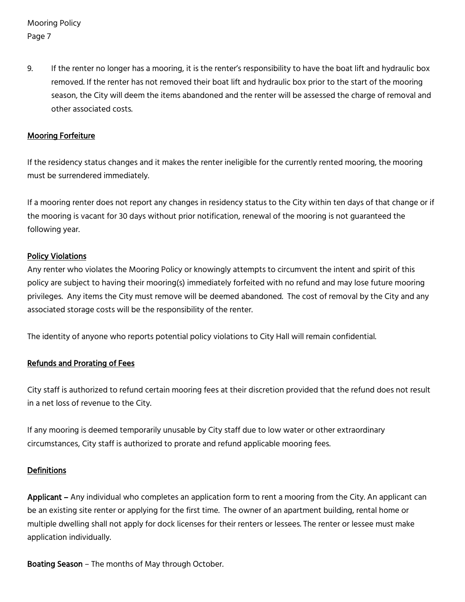9. If the renter no longer has a mooring, it is the renter's responsibility to have the boat lift and hydraulic box removed. If the renter has not removed their boat lift and hydraulic box prior to the start of the mooring season, the City will deem the items abandoned and the renter will be assessed the charge of removal and other associated costs.

#### Mooring Forfeiture

If the residency status changes and it makes the renter ineligible for the currently rented mooring, the mooring must be surrendered immediately.

If a mooring renter does not report any changes in residency status to the City within ten days of that change or if the mooring is vacant for 30 days without prior notification, renewal of the mooring is not guaranteed the following year.

#### Policy Violations

Any renter who violates the Mooring Policy or knowingly attempts to circumvent the intent and spirit of this policy are subject to having their mooring(s) immediately forfeited with no refund and may lose future mooring privileges. Any items the City must remove will be deemed abandoned. The cost of removal by the City and any associated storage costs will be the responsibility of the renter.

The identity of anyone who reports potential policy violations to City Hall will remain confidential.

## Refunds and Prorating of Fees

City staff is authorized to refund certain mooring fees at their discretion provided that the refund does not result in a net loss of revenue to the City.

If any mooring is deemed temporarily unusable by City staff due to low water or other extraordinary circumstances, City staff is authorized to prorate and refund applicable mooring fees.

#### **Definitions**

Applicant – Any individual who completes an application form to rent a mooring from the City. An applicant can be an existing site renter or applying for the first time. The owner of an apartment building, rental home or multiple dwelling shall not apply for dock licenses for their renters or lessees. The renter or lessee must make application individually.

Boating Season – The months of May through October.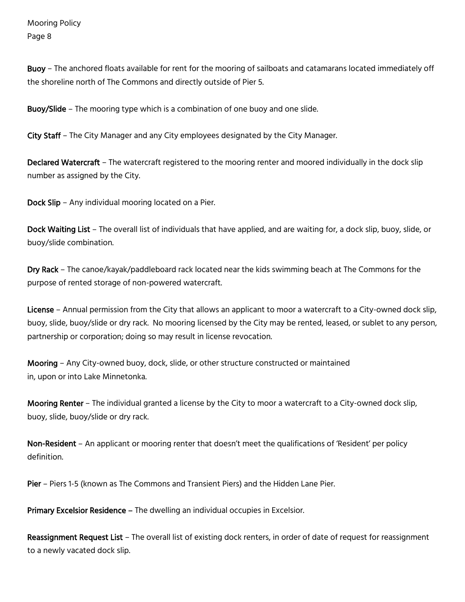Buoy – The anchored floats available for rent for the mooring of sailboats and catamarans located immediately off the shoreline north of The Commons and directly outside of Pier 5.

Buoy/Slide – The mooring type which is a combination of one buoy and one slide.

City Staff – The City Manager and any City employees designated by the City Manager.

Declared Watercraft – The watercraft registered to the mooring renter and moored individually in the dock slip number as assigned by the City.

Dock Slip – Any individual mooring located on a Pier.

Dock Waiting List – The overall list of individuals that have applied, and are waiting for, a dock slip, buoy, slide, or buoy/slide combination.

Dry Rack – The canoe/kayak/paddleboard rack located near the kids swimming beach at The Commons for the purpose of rented storage of non-powered watercraft.

License – Annual permission from the City that allows an applicant to moor a watercraft to a City-owned dock slip, buoy, slide, buoy/slide or dry rack. No mooring licensed by the City may be rented, leased, or sublet to any person, partnership or corporation; doing so may result in license revocation.

Mooring – Any City-owned buoy, dock, slide, or other structure constructed or maintained in, upon or into Lake Minnetonka.

Mooring Renter – The individual granted a license by the City to moor a watercraft to a City-owned dock slip, buoy, slide, buoy/slide or dry rack.

Non-Resident – An applicant or mooring renter that doesn't meet the qualifications of 'Resident' per policy definition.

Pier – Piers 1-5 (known as The Commons and Transient Piers) and the Hidden Lane Pier.

Primary Excelsior Residence – The dwelling an individual occupies in Excelsior.

Reassignment Request List – The overall list of existing dock renters, in order of date of request for reassignment to a newly vacated dock slip.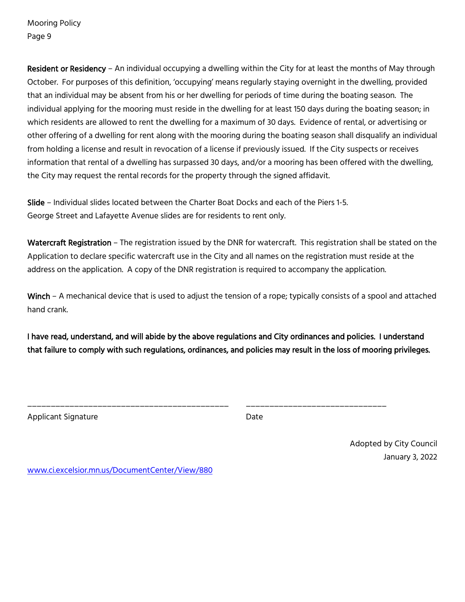Resident or Residency – An individual occupying a dwelling within the City for at least the months of May through October. For purposes of this definition, 'occupying' means regularly staying overnight in the dwelling, provided that an individual may be absent from his or her dwelling for periods of time during the boating season. The individual applying for the mooring must reside in the dwelling for at least 150 days during the boating season; in which residents are allowed to rent the dwelling for a maximum of 30 days. Evidence of rental, or advertising or other offering of a dwelling for rent along with the mooring during the boating season shall disqualify an individual from holding a license and result in revocation of a license if previously issued. If the City suspects or receives information that rental of a dwelling has surpassed 30 days, and/or a mooring has been offered with the dwelling, the City may request the rental records for the property through the signed affidavit.

Slide – Individual slides located between the Charter Boat Docks and each of the Piers 1-5. George Street and Lafayette Avenue slides are for residents to rent only.

Watercraft Registration - The registration issued by the DNR for watercraft. This registration shall be stated on the Application to declare specific watercraft use in the City and all names on the registration must reside at the address on the application. A copy of the DNR registration is required to accompany the application.

Winch – A mechanical device that is used to adjust the tension of a rope; typically consists of a spool and attached hand crank.

I have read, understand, and will abide by the above regulations and City ordinances and policies. I understand that failure to comply with such regulations, ordinances, and policies may result in the loss of mooring privileges.

\_\_\_\_\_\_\_\_\_\_\_\_\_\_\_\_\_\_\_\_\_\_\_\_\_\_\_\_\_\_\_\_\_\_\_\_\_\_\_\_\_\_\_ \_\_\_\_\_\_\_\_\_\_\_\_\_\_\_\_\_\_\_\_\_\_\_\_\_\_\_\_\_\_

Applicant Signature **Date** 

Adopted by City Council January 3, 2022

[www.ci.excelsior.mn.us/DocumentCenter/View/880](http://www.ci.excelsior.mn.us/DocumentCenter/View/880)